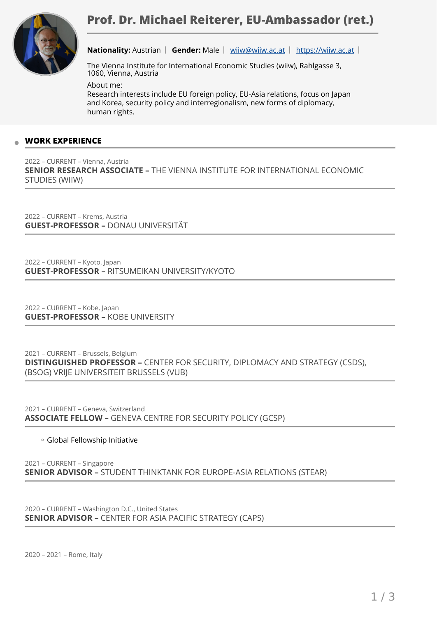

**Nationality:** Austrian | Gender: Male | [wiiw@wiiw.ac.at](mailto:wiiw@wiiw.ac.at) | <https://wiiw.ac.at> |

The Vienna Institute for International Economic Studies (wiiw), Rahlgasse 3, 1060, Vienna, Austria

About me: Research interests include EU foreign policy, EU-Asia relations, focus on Japan and Korea, security policy and interregionalism, new forms of diplomacy, human rights.

## **WORK EXPERIENCE**

2022 – CURRENT – Vienna, Austria **SENIOR RESEARCH ASSOCIATE –** THE VIENNA INSTITUTE FOR INTERNATIONAL ECONOMIC STUDIES (WIIW)

2022 – CURRENT – Krems, Austria **GUEST-PROFESSOR –** DONAU UNIVERSITÄT

2022 – CURRENT – Kyoto, Japan **GUEST-PROFESSOR –** RITSUMEIKAN UNIVERSITY/KYOTO

2022 – CURRENT – Kobe, Japan **GUEST-PROFESSOR –** KOBE UNIVERSITY

2021 – CURRENT – Brussels, Belgium **DISTINGUISHED PROFESSOR –** CENTER FOR SECURITY, DIPLOMACY AND STRATEGY (CSDS), (BSOG) VRIJE UNIVERSITEIT BRUSSELS (VUB)

2021 – CURRENT – Geneva, Switzerland **ASSOCIATE FELLOW –** GENEVA CENTRE FOR SECURITY POLICY (GCSP)

Global Fellowship Initiative ◦

2021 – CURRENT – Singapore **SENIOR ADVISOR –** STUDENT THINKTANK FOR EUROPE-ASIA RELATIONS (STEAR)

2020 – CURRENT – Washington D.C., United States **SENIOR ADVISOR –** CENTER FOR ASIA PACIFIC STRATEGY (CAPS)

2020 – 2021 – Rome, Italy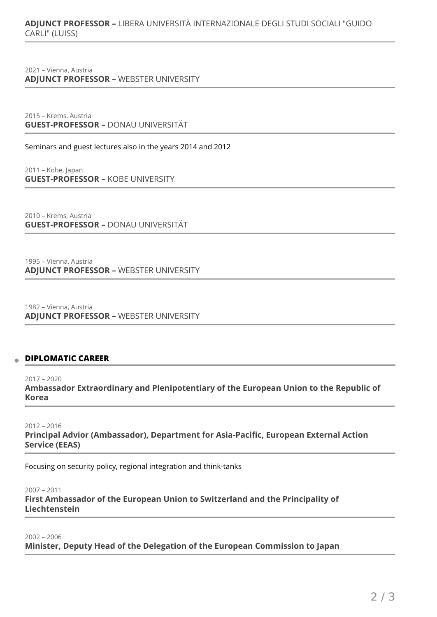# **ADJUNCT PROFESSOR –** LIBERA UNIVERSITÀ INTERNAZIONALE DEGLI STUDI SOCIALI "GUIDO CARLI" (LUISS)

2021 – Vienna, Austria **ADJUNCT PROFESSOR –** WEBSTER UNIVERSITY

2015 – Krems, Austria **GUEST-PROFESSOR –** DONAU UNIVERSITÄT

Seminars and guest lectures also in the years 2014 and 2012

2011 – Kobe, Japan **GUEST-PROFESSOR –** KOBE UNIVERSITY

2010 – Krems, Austria **GUEST-PROFESSOR –** DONAU UNIVERSITÄT

1995 – Vienna, Austria **ADJUNCT PROFESSOR –** WEBSTER UNIVERSITY

1982 – Vienna, Austria **ADJUNCT PROFESSOR –** WEBSTER UNIVERSITY

### **DIPLOMATIC CAREER**

2017 – 2020 **Ambassador Extraordinary and Plenipotentiary of the European Union to the Republic of Korea** 

2012 – 2016 **Principal Advior (Ambassador), Department for Asia-Pacific, European External Action Service (EEAS)** 

Focusing on security policy, regional integration and think-tanks

2007 – 2011 **First Ambassador of the European Union to Switzerland and the Principality of Liechtenstein** 

2002 – 2006 **Minister, Deputy Head of the Delegation of the European Commission to Japan**